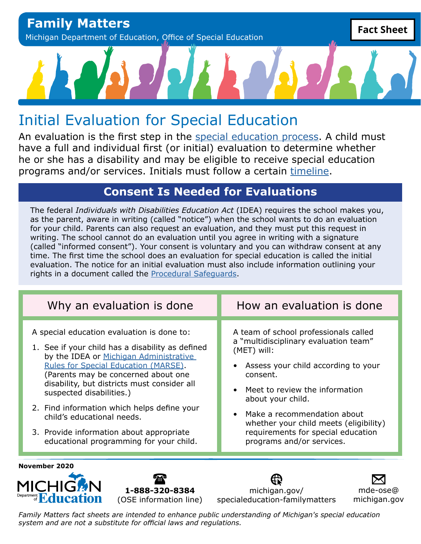# Initial Evaluation for Special Education

An evaluation is the first step in the [special education process](https://www.michigan.gov/-/media/Project/Websites/mde/specialeducation/familymatters/FM2/SE_Process_FactSheet.pdf?rev=451cbfac348f420e803cfba5ac21bc10). A child must have a full and individual first (or initial) evaluation to determine whether he or she has a disability and may be eligible to receive special education programs and/or services. Initials must follow a certain [timeline.](https://www.michigan.gov/-/media/Project/Websites/mde/specialeducation/eval-eligibility/InitialsGuidance.pdf?rev=8d03802761a34436a42344cad83384b2)

#### **Consent Is Needed for Evaluations**

The federal *Individuals with Disabilities Education Act* (IDEA) requires the school makes you, as the parent, aware in writing (called "notice") when the school wants to do an evaluation for your child. Parents can also request an evaluation, and they must put this request in writing. The school cannot do an evaluation until you agree in writing with a signature (called "informed consent"). Your consent is voluntary and you can withdraw consent at any time. The first time the school does an evaluation for special education is called the initial evaluation. The notice for an initial evaluation must also include information outlining your rights in a document called the [Procedural Safeguards](https://www.michigan.gov/-/media/Project/Websites/mde/specialeducation/familymatters/FM1/Safeguards_FactSheet.pdf?rev=70625aa6f7ff4dff9c40208214a4d032).

| Why an evaluation is done                        | How an evaluation is done              |
|--------------------------------------------------|----------------------------------------|
| A special education evaluation is done to:       | A team of school professionals called  |
| 1. See if your child has a disability as defined | a "multidisciplinary evaluation team"  |
| by the IDEA or Michigan Administrative           | (MET) will:                            |
| <b>Rules for Special Education (MARSE).</b>      | Assess your child according to your    |
| (Parents may be concerned about one              | consent.                               |
| disability, but districts must consider all      | Meet to review the information         |
| suspected disabilities.)                         | about your child.                      |
| 2. Find information which helps define your      | Make a recommendation about            |
| child's educational needs.                       | whether your child meets (eligibility) |
| 3. Provide information about appropriate         | requirements for special education     |
| educational programming for your child.          | programs and/or services.              |
| November 2020                                    | michigan.gov/                          |
| l-888-320-8384                                   | mde-ose@                               |

[michigan.gov/](http://michigan.gov/specialeducation-familymatters) [specialeducation-familymatters](http://michigan.gov/specialeducation-familymatters)

[mde-ose@](mailto:mde-ose%40michigan.gov?subject=) [michigan.gov](mailto:mde-ose%40michigan.gov?subject=)

*Family Matters fact sheets are intended to enhance public understanding of Michigan's special education system and are not a substitute for official laws and regulations.*

(OSE information line)